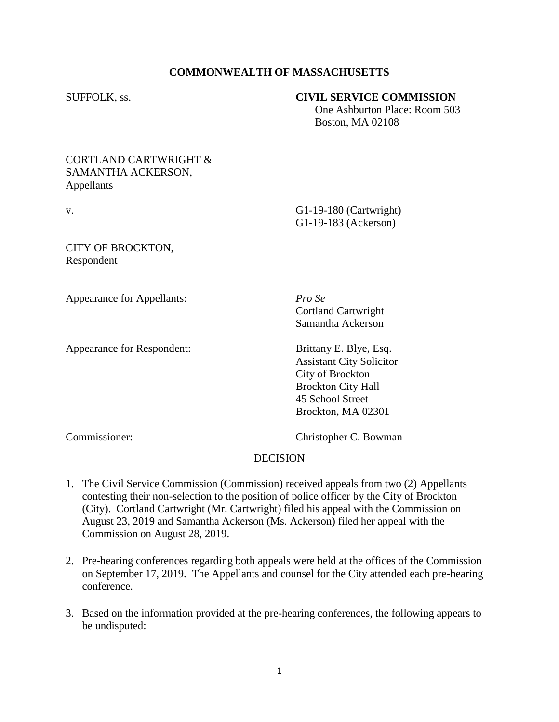## **COMMONWEALTH OF MASSACHUSETTS**

### SUFFOLK, ss. **CIVIL SERVICE COMMISSION**

 One Ashburton Place: Room 503 Boston, MA 02108

### CORTLAND CARTWRIGHT & SAMANTHA ACKERSON, Appellants

v. G1-19-180 (Cartwright) G1-19-183 (Ackerson)

CITY OF BROCKTON, Respondent

Appearance for Appellants: *Pro Se*

Appearance for Respondent: Brittany E. Blye, Esq.

Cortland Cartwright Samantha Ackerson

Assistant City Solicitor City of Brockton Brockton City Hall 45 School Street Brockton, MA 02301

Commissioner: Christopher C. Bowman

# DECISION

- 1. The Civil Service Commission (Commission) received appeals from two (2) Appellants contesting their non-selection to the position of police officer by the City of Brockton (City). Cortland Cartwright (Mr. Cartwright) filed his appeal with the Commission on August 23, 2019 and Samantha Ackerson (Ms. Ackerson) filed her appeal with the Commission on August 28, 2019.
- 2. Pre-hearing conferences regarding both appeals were held at the offices of the Commission on September 17, 2019. The Appellants and counsel for the City attended each pre-hearing conference.
- 3. Based on the information provided at the pre-hearing conferences, the following appears to be undisputed: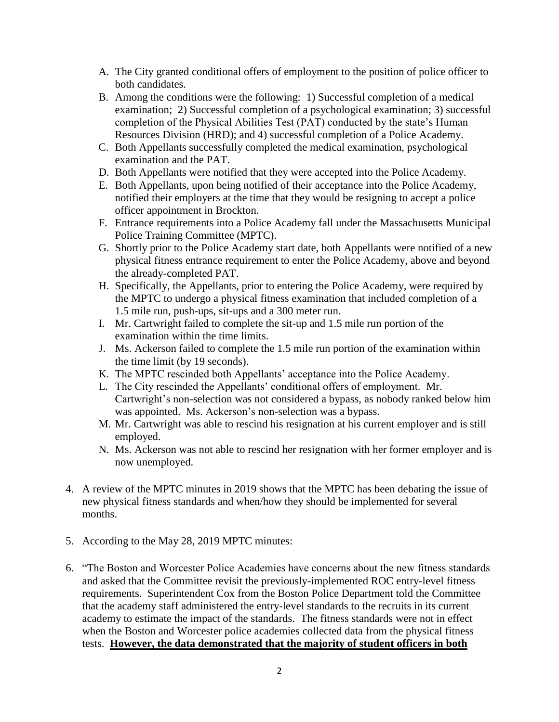- A. The City granted conditional offers of employment to the position of police officer to both candidates.
- B. Among the conditions were the following: 1) Successful completion of a medical examination; 2) Successful completion of a psychological examination; 3) successful completion of the Physical Abilities Test (PAT) conducted by the state's Human Resources Division (HRD); and 4) successful completion of a Police Academy.
- C. Both Appellants successfully completed the medical examination, psychological examination and the PAT.
- D. Both Appellants were notified that they were accepted into the Police Academy.
- E. Both Appellants, upon being notified of their acceptance into the Police Academy, notified their employers at the time that they would be resigning to accept a police officer appointment in Brockton.
- F. Entrance requirements into a Police Academy fall under the Massachusetts Municipal Police Training Committee (MPTC).
- G. Shortly prior to the Police Academy start date, both Appellants were notified of a new physical fitness entrance requirement to enter the Police Academy, above and beyond the already-completed PAT.
- H. Specifically, the Appellants, prior to entering the Police Academy, were required by the MPTC to undergo a physical fitness examination that included completion of a 1.5 mile run, push-ups, sit-ups and a 300 meter run.
- I. Mr. Cartwright failed to complete the sit-up and 1.5 mile run portion of the examination within the time limits.
- J. Ms. Ackerson failed to complete the 1.5 mile run portion of the examination within the time limit (by 19 seconds).
- K. The MPTC rescinded both Appellants' acceptance into the Police Academy.
- L. The City rescinded the Appellants' conditional offers of employment. Mr. Cartwright's non-selection was not considered a bypass, as nobody ranked below him was appointed. Ms. Ackerson's non-selection was a bypass.
- M. Mr. Cartwright was able to rescind his resignation at his current employer and is still employed.
- N. Ms. Ackerson was not able to rescind her resignation with her former employer and is now unemployed.
- 4. A review of the MPTC minutes in 2019 shows that the MPTC has been debating the issue of new physical fitness standards and when/how they should be implemented for several months.
- 5. According to the May 28, 2019 MPTC minutes:
- 6. "The Boston and Worcester Police Academies have concerns about the new fitness standards and asked that the Committee revisit the previously-implemented ROC entry-level fitness requirements. Superintendent Cox from the Boston Police Department told the Committee that the academy staff administered the entry-level standards to the recruits in its current academy to estimate the impact of the standards. The fitness standards were not in effect when the Boston and Worcester police academies collected data from the physical fitness tests. **However, the data demonstrated that the majority of student officers in both**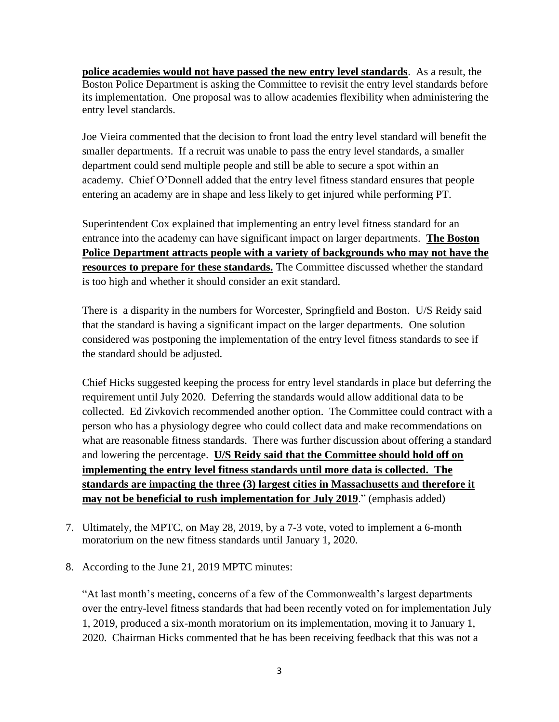**police academies would not have passed the new entry level standards**. As a result, the Boston Police Department is asking the Committee to revisit the entry level standards before its implementation. One proposal was to allow academies flexibility when administering the entry level standards.

Joe Vieira commented that the decision to front load the entry level standard will benefit the smaller departments. If a recruit was unable to pass the entry level standards, a smaller department could send multiple people and still be able to secure a spot within an academy. Chief O'Donnell added that the entry level fitness standard ensures that people entering an academy are in shape and less likely to get injured while performing PT.

Superintendent Cox explained that implementing an entry level fitness standard for an entrance into the academy can have significant impact on larger departments. **The Boston Police Department attracts people with a variety of backgrounds who may not have the resources to prepare for these standards.** The Committee discussed whether the standard is too high and whether it should consider an exit standard.

There is a disparity in the numbers for Worcester, Springfield and Boston. U/S Reidy said that the standard is having a significant impact on the larger departments. One solution considered was postponing the implementation of the entry level fitness standards to see if the standard should be adjusted.

Chief Hicks suggested keeping the process for entry level standards in place but deferring the requirement until July 2020. Deferring the standards would allow additional data to be collected. Ed Zivkovich recommended another option. The Committee could contract with a person who has a physiology degree who could collect data and make recommendations on what are reasonable fitness standards. There was further discussion about offering a standard and lowering the percentage. **U/S Reidy said that the Committee should hold off on implementing the entry level fitness standards until more data is collected. The standards are impacting the three (3) largest cities in Massachusetts and therefore it may not be beneficial to rush implementation for July 2019**." (emphasis added)

- 7. Ultimately, the MPTC, on May 28, 2019, by a 7-3 vote, voted to implement a 6-month moratorium on the new fitness standards until January 1, 2020.
- 8. According to the June 21, 2019 MPTC minutes:

"At last month's meeting, concerns of a few of the Commonwealth's largest departments over the entry-level fitness standards that had been recently voted on for implementation July 1, 2019, produced a six-month moratorium on its implementation, moving it to January 1, 2020. Chairman Hicks commented that he has been receiving feedback that this was not a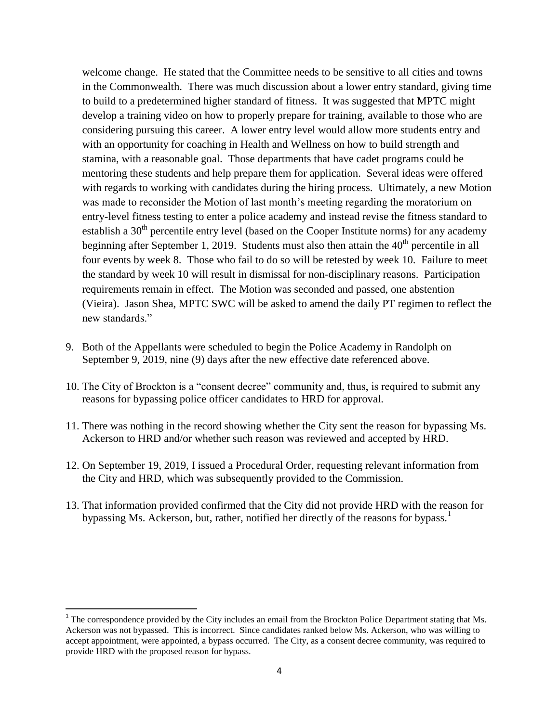welcome change. He stated that the Committee needs to be sensitive to all cities and towns in the Commonwealth. There was much discussion about a lower entry standard, giving time to build to a predetermined higher standard of fitness. It was suggested that MPTC might develop a training video on how to properly prepare for training, available to those who are considering pursuing this career. A lower entry level would allow more students entry and with an opportunity for coaching in Health and Wellness on how to build strength and stamina, with a reasonable goal. Those departments that have cadet programs could be mentoring these students and help prepare them for application. Several ideas were offered with regards to working with candidates during the hiring process. Ultimately, a new Motion was made to reconsider the Motion of last month's meeting regarding the moratorium on entry-level fitness testing to enter a police academy and instead revise the fitness standard to establish a 30<sup>th</sup> percentile entry level (based on the Cooper Institute norms) for any academy beginning after September 1, 2019. Students must also then attain the  $40<sup>th</sup>$  percentile in all four events by week 8. Those who fail to do so will be retested by week 10. Failure to meet the standard by week 10 will result in dismissal for non-disciplinary reasons. Participation requirements remain in effect. The Motion was seconded and passed, one abstention (Vieira). Jason Shea, MPTC SWC will be asked to amend the daily PT regimen to reflect the new standards"

- 9. Both of the Appellants were scheduled to begin the Police Academy in Randolph on September 9, 2019, nine (9) days after the new effective date referenced above.
- 10. The City of Brockton is a "consent decree" community and, thus, is required to submit any reasons for bypassing police officer candidates to HRD for approval.
- 11. There was nothing in the record showing whether the City sent the reason for bypassing Ms. Ackerson to HRD and/or whether such reason was reviewed and accepted by HRD.
- 12. On September 19, 2019, I issued a Procedural Order, requesting relevant information from the City and HRD, which was subsequently provided to the Commission.
- 13. That information provided confirmed that the City did not provide HRD with the reason for bypassing Ms. Ackerson, but, rather, notified her directly of the reasons for bypass.<sup>1</sup>

 $\overline{\phantom{a}}$ 

<sup>&</sup>lt;sup>1</sup> The correspondence provided by the City includes an email from the Brockton Police Department stating that Ms. Ackerson was not bypassed. This is incorrect. Since candidates ranked below Ms. Ackerson, who was willing to accept appointment, were appointed, a bypass occurred. The City, as a consent decree community, was required to provide HRD with the proposed reason for bypass.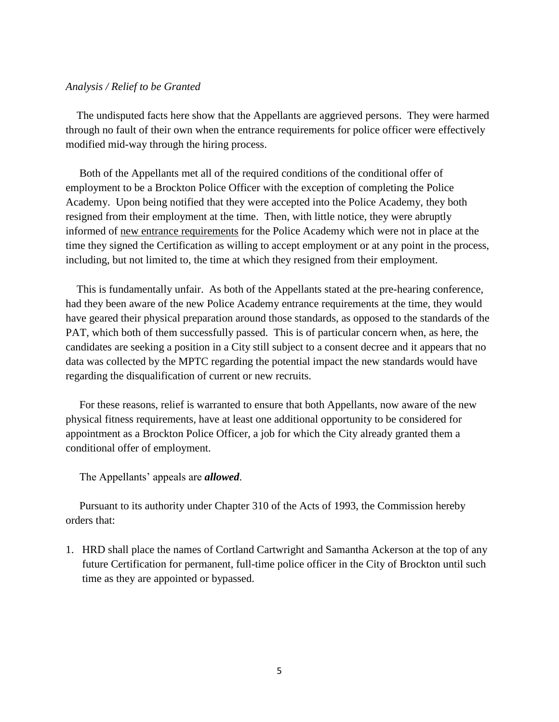#### *Analysis / Relief to be Granted*

 The undisputed facts here show that the Appellants are aggrieved persons. They were harmed through no fault of their own when the entrance requirements for police officer were effectively modified mid-way through the hiring process.

 Both of the Appellants met all of the required conditions of the conditional offer of employment to be a Brockton Police Officer with the exception of completing the Police Academy. Upon being notified that they were accepted into the Police Academy, they both resigned from their employment at the time. Then, with little notice, they were abruptly informed of new entrance requirements for the Police Academy which were not in place at the time they signed the Certification as willing to accept employment or at any point in the process, including, but not limited to, the time at which they resigned from their employment.

 This is fundamentally unfair. As both of the Appellants stated at the pre-hearing conference, had they been aware of the new Police Academy entrance requirements at the time, they would have geared their physical preparation around those standards, as opposed to the standards of the PAT, which both of them successfully passed. This is of particular concern when, as here, the candidates are seeking a position in a City still subject to a consent decree and it appears that no data was collected by the MPTC regarding the potential impact the new standards would have regarding the disqualification of current or new recruits.

 For these reasons, relief is warranted to ensure that both Appellants, now aware of the new physical fitness requirements, have at least one additional opportunity to be considered for appointment as a Brockton Police Officer, a job for which the City already granted them a conditional offer of employment.

The Appellants' appeals are *allowed*.

 Pursuant to its authority under Chapter 310 of the Acts of 1993, the Commission hereby orders that:

1. HRD shall place the names of Cortland Cartwright and Samantha Ackerson at the top of any future Certification for permanent, full-time police officer in the City of Brockton until such time as they are appointed or bypassed.